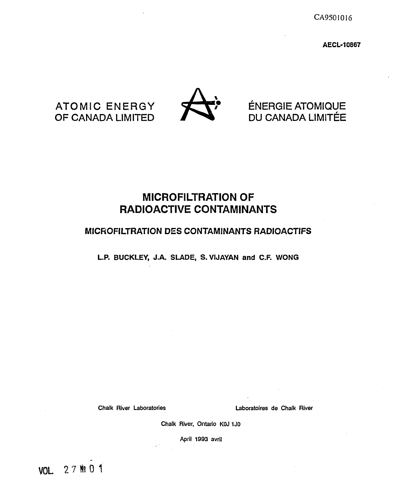CA950I016

**AECL-10867**



# ATOMIC ENERGY<br>OF CANADA LIMITED DU CANADA LIMITÉE DU CANADA LIMITÉE

# **MICROFILTRATION OF RADIOACTIVE CONTAMINANTS**

# **MICROFILTRATION DES CONTAMINANTS RADIOACTIFS**

**L.P. BUCKLEY, J.A. SLADE, S.VIJAYAN and C.F. WONG**

Chalk River Laboratories Laboratoires de Chalk River

Chalk River, Ontario KOJ 1J0

April 1993 avril

VOL **2 7 % 0 1**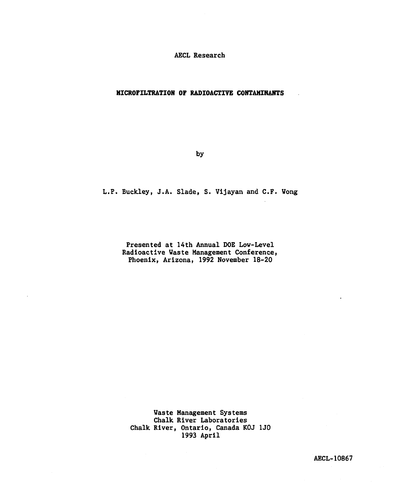ÂECL Research

## **MICROFILTRATION OF RADIOACTIVE CONTAHIRANTS**

by

L.P. Buckley, J.A. Slade, S. Vijayan and C.F. Wong

Presented at 14th Annual DOE Low-Level Radioactive Vaste Management Conference, Phoenix, Arizona, 1992 November 18-20

Waste Management Systems Chalk River Laboratories Chalk River, Ontario, Canada KOJ 1J0 1993 April

AECL-10867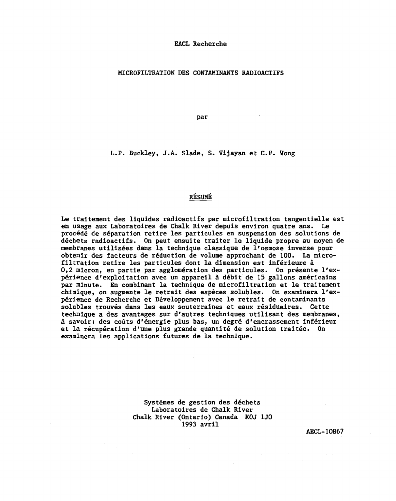#### **EACL Recherche**

**MICROFILTRATION DES CONTAMINANTS RADIOACTIFS**

**par**

**L.P. Buckley, J.A. Slade, S. Vijayan et CF . Wong**

## **RÉSUMÉ**

**Le traitement des liquides radioactifs par microfiltration tangentielle est en usage aux Laboratoires de Chalk River depuis environ quatre ans. Le procédé de séparation retire les particules en suspension des solutions de déchets radioactifs. On peut ensuite traiter le liquide propre au moyen de membranes utilisées dans la technique classique de l'osmose inverse pour obtenir des facteurs de réduction de volume approchant de 100. La microfiltration retire les particules dont la dimension est inférieure à 0,2 micron, en partie par agglomération des particules. On présente l'expérience d'exploitation avec un appareil à débit de 15 gallons américains par minute. En combinant la technique de microfiltration et le traitement chimique, on augmente le retrait des espèces solubles. On examinera l'expérience de Recherche et Développement avec le retrait de contaminants solubles trouvés dans les eaux souterraines et eaux résiduaires. Cette technique a des avantages sur d'autres techniques utilisant des membranes, à savoir: des coûts d'énergie plus bas, un degré d'encrassement inférieur et la récupération d'une plus grande quantité de solution traitée. On examinera les applications futures de la technique.**

> **Systèmes de gestion des déchets Laboratoires de Chalk River Chalk River (Ontario) Canada KOJ 1J0 1993 avril**

**AECL-10867**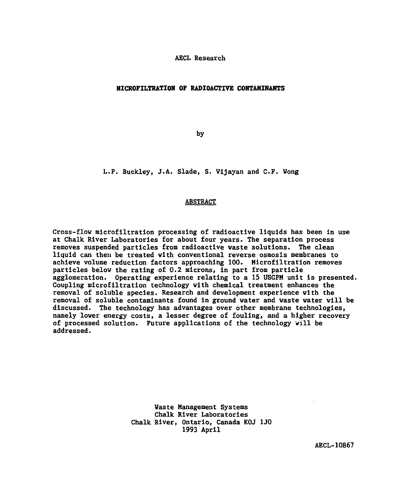AECL Research

### **MICROFILTRATION OF RADIOACTIVE CONTAHIHANTS**

by

L.P. Buckley, J.À. Slade, S. Vijayan and C.F. Wong

### ABSTRACT

Cross-flow microfiltration processing of radioactive liquids has been in use at Chalk River Laboratories for about four years. The separation process removes suspended particles from radioactive vaste solutions. The clean liquid can then be treated with conventional reverse osmosis membranes to achieve volume reduction factors approaching 100. Microfiltration removes particles below the rating of 0.2 microns, in part from particle agglomeration. Operating experience relating to a 15 USGFM unit is presented. Coupling microfiltration technology with chemical treatment enhances the removal of soluble species. Research and development experience with the removal of soluble contaminants found in ground water and waste water will be discussed. The technology has advantages over other membrane technologies, namely lover energy costs, a lesser degree of fouling, and a higher recovery of processed solution. Future applications of the technology vill be addressed.

> Vaste Management Systems Chalk River Laboratories Chalk River, Ontario, Canada KOJ 1J0 1993 April

> > AECL-10867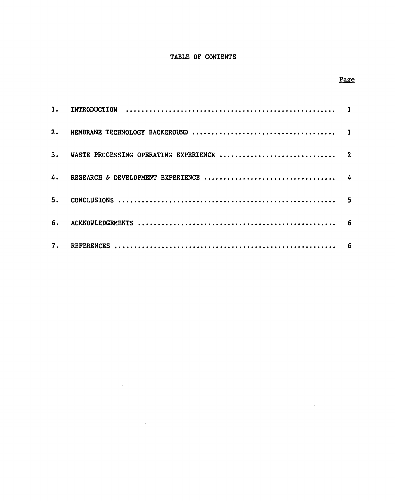# **TABLE OP CONTENTS**

 $\sim 10$ 

# **Page**

 $\sim 10^6$ 

| 2. |  |
|----|--|
| 3. |  |
|    |  |
| 5. |  |
| 6. |  |
| 7. |  |

 $\sim 10^{-10}$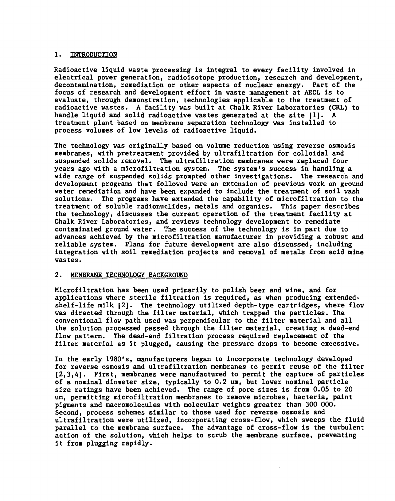## **1. INTRODUCTION**

**Radioactive liquid waste processing is integral to every facility involved in electrical power generation, radioisotope production, research and development, decontamination, remediation or other aspects of nuclear energy. Part of the focus of research and development effort in waste management at AECL is to evaluate, through demonstration, technologies applicable to the treatment of radioactive wastes. A facility was built at Chalk River Laboratories (CRL) to handle liquid and solid radioactive wastes generated at the site [1]. A treatment plant based on membrane separation technology was installed to process volumes of low levels of radioactive liquid.**

**The technology was originally based on volume reduction using reverse osmosis membranes, with pretreatment provided by ultrafiltration for colloidal and suspended solids removal. The ultrafiltration membranes were replaced four years ago with a microfiltration system. The system's success in handling a wide range of suspended solids prompted other investigations. The research and development programs that followed were an extension of previous work on ground water remediation and have been expanded to include the treatment of soil wash solutions. The programs have extended the capability of microfiltration to the treatment of soluble radlonuclides, metals and organics. This paper describes the technology, discusses the current operation of the treatment facility at Chalk River Laboratories, and reviews technology development to remediate contaminated ground water. The success of the technology is in part due to advances achieved by the microfiltration manufacturer in providing a robust and reliable system. Plans for future development are also discussed, including integration with soil remediation projects and removal of metals from acid mine wastes.**

### **2. MEMBRANE TECHNOLOGY BACKGROUND**

**Microfiltration has been used primarily to polish beer and wine, and for applications where sterile filtration is required, as when producing extendedshelf-life milk [2]. The technology utilized depth-type cartridges, where flow was directed through the filter material, which trapped the particles. The conventional flow path used was perpendicular to the filter material and all the solution processed passed through the filter material, creating a dead-end flow pattern. The dead-end filtration process required replacement of the filter material as it plugged, causing the pressure drops to become excessive.**

**In the early 1980's, manufacturers began to incorporate technology developed for reverse osmosis and ultrafiltration membranes to permit reuse of the filter [2,3,4]. First, membranes were manufactured to permit the capture of particles of a nominal diameter size, typically to 0.2 urn, but lower nominal particle size ratings have been achieved. The range of pore sizes is from 0.05 to 20 urn, permitting microfiltration membranes to remove microbes, bacteria, paint pigments and macromolecules with molecular weights greater than 300 000. Second, process schemes similar to those used for reverse osmosis and ultrafiltration were utilized, incorporating cross-flow, which sweeps the fluid parallel to the membrane surface. The advantage of cross-flow is the turbulent action of the solution, which helps to scrub the membrane surface, preventing it from plugging rapidly.**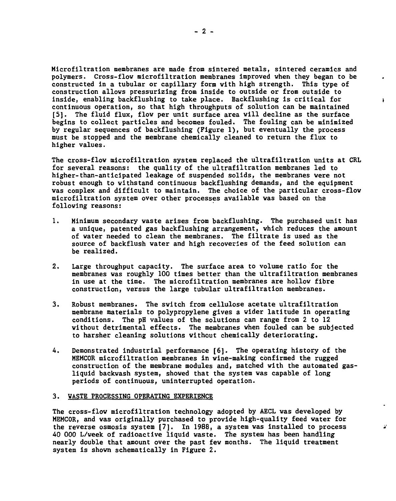**Microfiltration membranes are made from sintered metals, sintered ceramics and polymers. Cross-flov microfiltration membranes improved when they began to be constructed in a tubular or capillary form with high strength. This type of construction allows pressurizing from inside to outside or from outside to inside, enabling backflushing to take place. Backflushing Is critical for continuous operation, so that high throughputs of solution can be maintained [5]. The fluid flux, flow per unit surface area will decline as the surface begins to collect particles and becomes fouled. The fouling can be minimized by regular sequences of backflushing (Figure 1), but eventually the process must be stopped and the membrane chemically cleaned to return the flux to higher values.**

 $\ddot{\phantom{1}}$ 

 $\Delta^{\prime}$ 

**The cross-flov microfiltration system replaced the ultrafiltration units at CRL for several reasons: the quality of the ultrafiltration membranes led to higher-than-anticipated leakage of suspended solids, the membranes were not robust enough to withstand continuous backflushing demands, and the equipment was complex and difficult to maintain. The choice of the particular cross-flov microfiltration system over other processes available was based on the following reasons:**

- **1. Minimum secondary vaste arises from backflushing. The purchased unit has a unique, patented gas backflushing arrangement, which reduces the amount of vater needed to clean the membranes. The filtrate is used as the source of backflush vater and high recoveries of the feed solution can be realized.**
- **2. Large throughput capacity. The surface area to volume ratio for the membranes vas roughly 100 times better than the ultrafiltration membranes in use at the time. The microfiltration membranes are hollov fibre construction, versus the large tubular ultrafiltration membranes.**
- **3. Robust membranes. The svitch from cellulose acetate ultrafiltration membrane materials to polypropylene gives a vider latitude in operating conditions. The pH values of the solutions can range from 2 to 12 vithout detrimental effects. The membranes vhen fouled can be subjected to harsher cleaning solutions vithout chemically deteriorating.**
- **4. Demonstrated industrial performance [6]. The operating history of the MEMCOR microfiltration membranes in vine-making confirmed the rugged construction of the membrane modules and, matched vith the automated gasliquid backvash system, shoved that the system vas capable of long periods of continuous, uninterrupted operation.**

#### **3. VASTE PROCESSING OPERATING EXPERIENCE**

**The cross-flov microfiltration technology adopted by AECL vas developed by MEMCOR, and vas originally purchased to provide high-quality feed vater for the reverse osmosis system [7]. In 1988, a system vas installed to process 40 000 L/veek of radioactive liquid vaste. The system has been handling nearly double that amount over the past few months. The liquid treatment system is shown schematically in Figure 2.**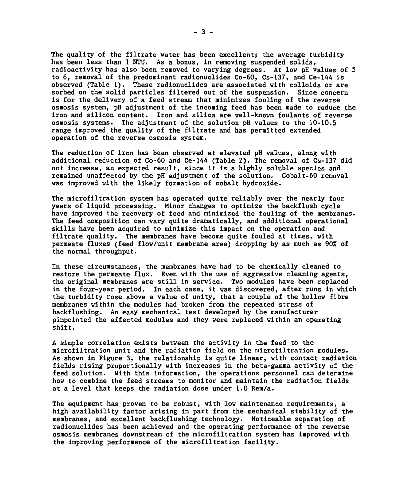**The quality of the filtrate water has been excellent; the average turbidity has been less than 1 NTU. As a bonus, in removing suspended solids, radioactivity has also been removed to varying degrees. At low pH values of 5 to 6, removal of the predominant radionuclides Co-60, Cs-137, and Ce-144 is observed (Table 1). These radionuclides are associated with colloids or are sorbed on the solid particles filtered out of the suspension. Since concern is for the delivery of a feed stream that minimizes fouling of the reverse osmosis system, pH adjustment of the incoming feed has been made to reduce the iron and silicon content. Iron and silica are well-known foulants of reverse osmosis systems. The adjustment of the solution pH values to the 10-10.5 range improved the quality of the filtrate and has permitted extended operation of the reverse osmosis system.**

**The reduction of iron has been observed at elevated pH values, along with additional reduction of Co-60 and Ce-144 (Table 2) . The removal of Cs-137 did not increase, an expected result, since it is a highly soluble species and remained unaffected by the pH adjustment of the solution. Cobalt-60 removal was improved with the likely formation of cobalt hydroxide.**

**The microfiltration system has operated quite reliably over the nearly four years of liquid processing. Minor changes to optimize the backflush cycle have improved the recovery of feed and minimized the fouling of the membranes. The feed composition can vary quite dramatically, and additional operational skills have been acquired to minimize this impact on the operation and filtrate quality. The membranes have become quite fouled at times, with permeate fluxes (feed flow/unit membrane area) dropping by as much as 90% of the normal throughput.**

**In these circumstances, the membranes have had to be chemically cleaned to restore the permeate flux. Even with the use of aggressive cleaning agents, the original membranes are still in service. Two modules have been replaced in the four-year period. In each case, it was discovered, after runs in which the turbidity rose above a value of unity, that a couple of the hollow fibre membranes within the modules had broken from the repeated stress of backflushing. An easy mechanical test developed by the manufacturer pinpointed the affected modules and they were replaced within an operating shift.**

**A simple correlation exists between the activity in the feed to the microfiltration unit and the radiation field on the microfiltration modules. As shown in Figure 3, the relationship is quite linear, with contact radiation fields rising proportionally with increases in the beta-gamma activity of the feed solution. With this information, the operations personnel can determine how to combine the feed streams to monitor and maintain the radiation fields at a level that keeps the radiation dose under 1.0 Rem/a.**

**The equipment has proven to be robust, with low maintenance requirements, a high availability factor arising in part from the mechanical stability of the membranes, and excellent backflushing technology. Noticeable separation of radionuclides has been achieved and the operating performance of the reverse osmosis membranes downstream of the microfiltration system has improved with the improving performance of the microfiltration facility.**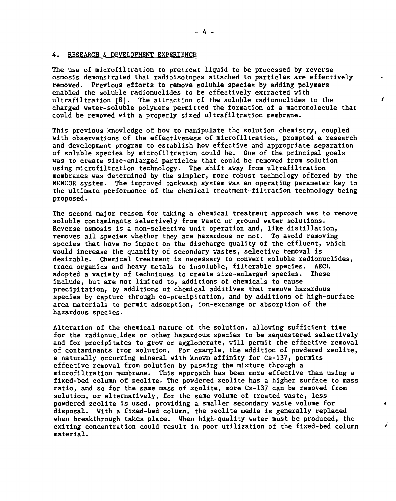#### **4. RESEARCH & DEVELOPMENT EXPERIENCE**

**The use of microfiltration to pretreat liquid to be processed by reverse osmosis demonstrated that radioisotopes attached to particles are effectively removed. Previous efforts to remove soluble species by adding polymers enabled the soluble radionuclides to be effectively extracted with ultrafiltration [8]. The attraction of the soluble radionuclides to the charged water-soluble polymers permitted the formation of a macromolecule that could be removed with a properly sized ultrafiltration membrane.**

Ł

√

**This previous knowledge of how to manipulate the solution chemistry, coupled with observations of the effectiveness of microfiltration, prompted a research and development program to establish how effective and appropriate separation of soluble species by microfiltration could be. One of the principal goals was to create size-enlarged particles that could be removed from solution using microfiltration technology. The shift away from ultrafiltration membranes was determined by the simpler, more robust technology offered by the MEMCOR system. The improved backwash system was an operating parameter key to the ultimate performance of the chemical treatment-filtration technology being proposed.**

**The second major reason for taking a chemical treatment approach was to remove soluble contaminants selectively from waste or ground water solutions. Reverse osmosis is a non-selective unit operation and, like distillation, removes all species whether they are hazardous or not. To avoid removing species that have no impact on the discharge quality of the effluent, which would increase the quantity of secondary wastes, selective removal is desirable. Chemical treatment is necessary to convert soluble radionuclides, trace organics and heavy metals to insoluble, filterable species. AECL adopted a variety of techniques to create size-enlarged species. These include, but are not limited to, additions of chemicals to cause precipitation, by additions of chemical additives that remove hazardous species by capture through co-precipitation, and by additions of high-surface area materials to permit adsorption, ion-exchange or absorption of the hazardous species.**

**Alteration of the chemical nature of the solution, allowing sufficient time for the radionuclides or other hazardous species to be sequestered selectively and for precipitates to grow or agglomerate, will permit the effective removal of contaminants from solution. For example, the addition of powdered zeolite, a naturally occurring mineral with known affinity for Cs-137, permits effective removal from solution by passing the mixture through a microfiltration membrane. This approach has been more effective than using a fixed-bed column of zeolite. The powdered zeolite has a higher surface to mass ratio, and so for the same mass of zeolite, more Cs-137 can be removed from solution, or alternatively, for the same volume of treated waste, less powdered zeolite is used, providing a smaller secondary waste volume for disposal. With a fixed-bed column, the zeolite media is generally replaced when breakthrough takes place. Vhen high-quality water must be produced, the exiting concentration could result in poor utilization of the fixed-bed column material.**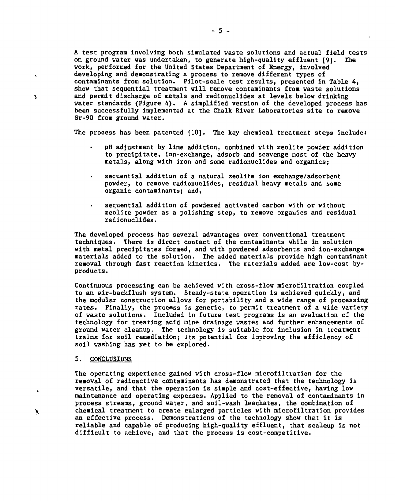**A test program involving both simulated vaste solutions and actual field tests on ground vater was undertaken, to generate high-quality effluent [9]. The work, performed for the United States Department of Energy, involved developing and demonstrating a process to remove different types of contaminants from solution. Pilot-scale test results, presented in Table 4, show that sequential treatment vill remove contaminants from vaste solutions and permit discharge of metals and radionuclides at levels belov drinking vater standards (Figure 4). A simplified version of the developed process has been successfully implemented at the Chalk River Laboratories site to remove Sr-90 from ground vater.**

**The process has been patented [10]. The key chemical treatment steps include:**

- **pH adjustment by lime addition, combined vith zeolite povder addition to precipitate, ion-exchange, adsorb and scavenge most of the heavy metals, along vith iron and some radionuclides and organics;**
- **sequential addition of a natural zeolite ion exchange/adsorbent povder, to remove radionuclides, residual heavy metals and some organic contaminants; and,**
- **sequential addition of povdered activated carbon vith or vithout zeolite povder as a polishing step, to remove orgauics and residual radionuclides.**

**The developed process has several advantages over conventional treatment techniques. There is direct contact of the contaminants vhile in solution vith metal precipitates formed, and vith povdered adsorbents and ion-exchange materials added to the solution. The added materials provide high contaminant removal through fast reaction kinetics. The materials added are lov-cost byproducts.**

**Continuous processing can be achieved vith cross-flov microfiltration coupled to an air-backflush system. Steady-state operation is achieved quickly, and the modular construction allows for portability and a vide range of processing rates. Finally, the process is generic, to permit treatment of a wide variety of vaste solutions. Included in future test programs is an evaluation of the technology for treating acid mine drainage vastes and further enhancements of ground vater cleanup. The technology is suitable for inclusion in treatment trains for soil remediation; its potential for improving the efficiency of soil vashing has yet to be explored.**

#### **5. CONCLUSIONS**

Ŋ

◣

**The operating experience gained vith cross-flov microfiltration for the removal of radioactive contaminants has demonstrated that the technology is versatile, and that the operation is simple and cost-effective, having lov maintenance and operating expenses. Applied to the removal of contaminants in process streams, ground vater, and soil-wash leachates, the combination of chemical treatment to create enlarged particles vith microfiltration provides an effective process. Demonstrations of the technology shov that It is reliable and capable of producing high-quality effluent, that scaleup is not difficult to achieve, and that the process is cost-competitive.**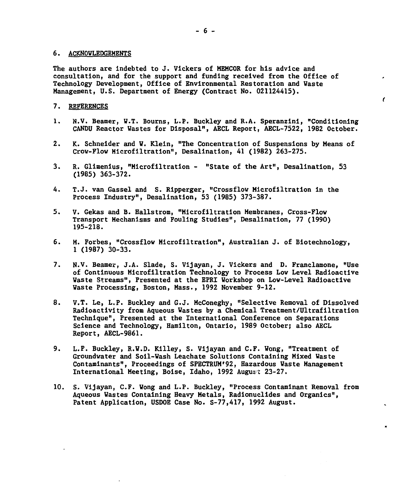#### **6. ACKNOWLEDGEMENTS**

**The authors are indebted to J. Vickers of MEMCOR for his advice and consultation, and for the support and funding received from the Office of Technology Development, Office of Environmental Restoration and Waste Management, U.S. Department of Energy (Contract No. 021124415).**

# **7. REFERENCES**

**1. N.V. Beamer, W.T. Bourns, L.P. Buckley and R.A. Speranzini, "Conditioning CANDU Reactor Wastes for Disposal", AECL Report, AECL-7522, 1982 October.**  $\epsilon$ 

- **2. K. Schneider and V. Klein, "The Concentration of Suspensions by Means of Crov-Flow Microfiltration<sup>1</sup>', Desalination, 41 (1982) 263-275.**
- **3. R. Glimenius, "Microfiltration "State of the Art", Desalination, 53 (1985) 363-372.**
- **4. T.J. van Gassel and S. Ripperger, "Crossflov Microfiltration in the Process Industry", Desalination, 53 (1985) 373-387.**
- **5. V. Gekas and B. Hallstrom, "Microfiltration Membranes, Cross-Flow Transport Mechanisms and Fouling Studies", Desalination, 77 (1990) 195-218.**
- **6. M. Forbes, "Crossflov Microfiltration", Australian J. of Biotechnology, 1 (1987) 30-33.**
- **7. N.V. Beamer, J.A. Slade, S. Vijayan, J. Vickers and D. Franclamone, "Use of Continuous Microfiltration Technology to Process Low Level Radioactive Waste Streams", Presented at the EPRI Workshop on Low-Level Radioactive Waste Processing, Boston, Mass., 1992 November 9-12.**
- **8. V.T. Le, L.P. Buckley and G.J. McConeghy, "Selective Removal of Dissolved Radioactivity from Aqueous Wastes by a Chemical Treatment/Ultrafiltration Technique", Presented at the International Conference on Separations Science and Technology, Hamilton, Ontario, 1989 October; also AECL Report, AECL-9861.**
- **9. L.P. Buckley, R.W.D. Killey, S. Vijayan and C.F. Wong, "Treatment of Groundvater and Soil-Wash Leachate Solutions Containing Mixed Waste Contaminants", Proceedings of SPECTRUM'92, Hazardous Waste Management International Meeting, Boise, Idaho, 1992 August 23-27.**
- **10. S. Vijayan, C.F. Wong and L.P. Buckley, "Process Contaminant Removal from Aqueous Wastes Containing Heavy Metals, Radionuclides and Organics", Patent Application, USDOE Case No. S-77,417, 1992 August.**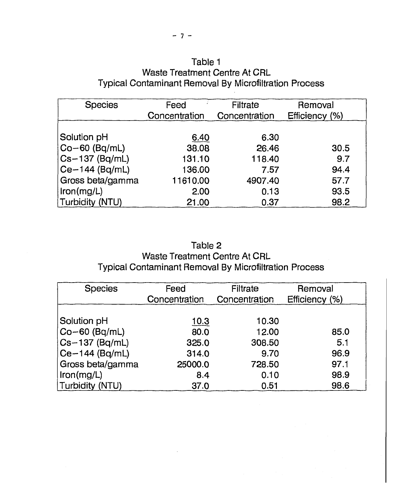# Table 1 Waste Treatment Centre At CRL Typical Contaminant Removal By Microfiltration Process

| <b>Species</b>      | Feed<br>Concentration | <b>Filtrate</b><br>Concentration | Removal<br>Efficiency (%) |
|---------------------|-----------------------|----------------------------------|---------------------------|
| Solution pH         | 6.40                  | 6.30                             |                           |
| $CO-60$ (Bq/mL)     | 38.08                 | 26.46                            | 30.5                      |
| $ Cs - 137$ (Bq/mL) | 131.10                | 118.40                           | 9.7                       |
| $ Ce-144$ (Bq/mL)   | 136.00                | 7.57                             | 94.4                      |
| Gross beta/gamma    | 11610.00              | 4907.40                          | 57.7                      |
| iron(mg/L)          | 2.00                  | 0.13                             | 93.5                      |
| Turbidity (NTU)     | 21.00                 | 0.37                             | 98.2                      |

# Table 2 Waste Treatment Centre At CRL Typical Contaminant Removal By Microfiltration Process

| <b>Species</b>   | Feed<br>Concentration | <b>Filtrate</b><br>Concentration | Removal<br>Efficiency (%) |
|------------------|-----------------------|----------------------------------|---------------------------|
|                  |                       |                                  |                           |
| Solution pH      | <u>10.3</u>           | 10.30                            |                           |
| $ Co-60$ (Bq/mL) | 80.0                  | 12.00                            | 85.0                      |
| $Cs-137$ (Bq/mL) | 325.0                 | 308.50                           | 5.1                       |
| $Ce-144$ (Bq/mL) | 314.0                 | 9.70                             | 96.9                      |
| Gross beta/gamma | 25000.0               | 728.50                           | 97.1                      |
| Im(mg/L)         | 8.4                   | 0.10                             | 98.9                      |
| Turbidity (NTU)  | 37.0                  | 0.51                             | 98.6                      |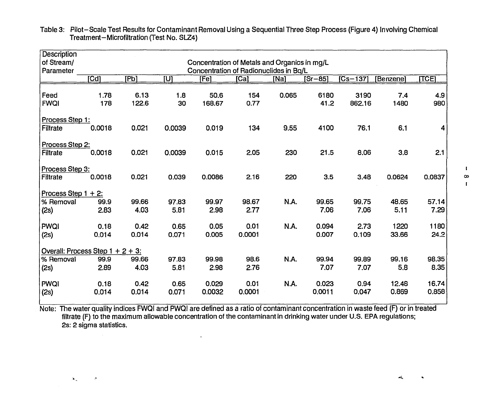| of Stream/<br>Parameter             |                                                                                            |                                                                           |                                                                        |                                                                              |                                                                          |                                                    |                                                                                                                                                                      |                                                                           |                                                                        |
|-------------------------------------|--------------------------------------------------------------------------------------------|---------------------------------------------------------------------------|------------------------------------------------------------------------|------------------------------------------------------------------------------|--------------------------------------------------------------------------|----------------------------------------------------|----------------------------------------------------------------------------------------------------------------------------------------------------------------------|---------------------------------------------------------------------------|------------------------------------------------------------------------|
| $\overline{Cd}$                     | [Pb]                                                                                       | <u>lnl</u>                                                                | [Fe]                                                                   | $\sqrt{Ca}$                                                                  | [Na]                                                                     | $5r - 85$                                          | $\overline{[Cs-137]}$                                                                                                                                                | [Benzene]                                                                 | <u>ILCEI</u>                                                           |
|                                     |                                                                                            |                                                                           |                                                                        |                                                                              |                                                                          |                                                    |                                                                                                                                                                      |                                                                           |                                                                        |
|                                     |                                                                                            |                                                                           |                                                                        |                                                                              |                                                                          |                                                    |                                                                                                                                                                      |                                                                           | 4.9<br>980                                                             |
|                                     |                                                                                            |                                                                           |                                                                        |                                                                              |                                                                          |                                                    |                                                                                                                                                                      |                                                                           |                                                                        |
| Process Step 1:                     |                                                                                            |                                                                           |                                                                        |                                                                              |                                                                          |                                                    |                                                                                                                                                                      |                                                                           |                                                                        |
| 0.0018                              | 0.021                                                                                      | 0.0039                                                                    | 0.019                                                                  | 134                                                                          | 9.55                                                                     | 4100                                               | 76.1                                                                                                                                                                 | 6.1                                                                       | 4                                                                      |
|                                     |                                                                                            |                                                                           |                                                                        |                                                                              |                                                                          |                                                    |                                                                                                                                                                      |                                                                           |                                                                        |
|                                     |                                                                                            |                                                                           |                                                                        |                                                                              |                                                                          |                                                    |                                                                                                                                                                      |                                                                           |                                                                        |
|                                     |                                                                                            |                                                                           |                                                                        |                                                                              |                                                                          |                                                    |                                                                                                                                                                      |                                                                           | 2.1                                                                    |
| Process Step 3:                     |                                                                                            |                                                                           |                                                                        |                                                                              |                                                                          |                                                    |                                                                                                                                                                      |                                                                           |                                                                        |
| 0.0018                              | 0.021                                                                                      | 0.039                                                                     | 0.0086                                                                 | 2.16                                                                         | 220                                                                      | 3.5                                                | 3.48                                                                                                                                                                 | 0.0624                                                                    | 0.0837                                                                 |
|                                     |                                                                                            |                                                                           |                                                                        |                                                                              |                                                                          |                                                    |                                                                                                                                                                      |                                                                           |                                                                        |
| Process Step $1 + 2$ :              |                                                                                            |                                                                           |                                                                        |                                                                              |                                                                          |                                                    |                                                                                                                                                                      |                                                                           |                                                                        |
|                                     |                                                                                            |                                                                           |                                                                        |                                                                              |                                                                          |                                                    |                                                                                                                                                                      |                                                                           | 57.14                                                                  |
|                                     |                                                                                            |                                                                           |                                                                        |                                                                              |                                                                          |                                                    |                                                                                                                                                                      |                                                                           | 7.29                                                                   |
|                                     |                                                                                            |                                                                           |                                                                        |                                                                              |                                                                          |                                                    |                                                                                                                                                                      |                                                                           | 1180                                                                   |
|                                     |                                                                                            |                                                                           |                                                                        |                                                                              |                                                                          |                                                    |                                                                                                                                                                      |                                                                           | 24.2                                                                   |
|                                     |                                                                                            |                                                                           |                                                                        |                                                                              |                                                                          |                                                    |                                                                                                                                                                      |                                                                           |                                                                        |
| Overall: Process Step $1 + 2 + 3$ : |                                                                                            |                                                                           |                                                                        |                                                                              |                                                                          |                                                    |                                                                                                                                                                      |                                                                           |                                                                        |
| 99.9                                | 99.66                                                                                      | 97.83                                                                     | 99.98                                                                  | 98.6                                                                         | N.A.                                                                     | 99.94                                              | 99.89                                                                                                                                                                | 99.16                                                                     | 98.35                                                                  |
| 2.89                                | 4.03                                                                                       | 5.81                                                                      | 2.98                                                                   | 2.76                                                                         |                                                                          | 7.07                                               | 7.07                                                                                                                                                                 | 5.8                                                                       | 8.35                                                                   |
|                                     |                                                                                            |                                                                           |                                                                        |                                                                              |                                                                          |                                                    |                                                                                                                                                                      |                                                                           |                                                                        |
|                                     |                                                                                            |                                                                           |                                                                        |                                                                              |                                                                          |                                                    |                                                                                                                                                                      |                                                                           | 16.74                                                                  |
|                                     |                                                                                            |                                                                           |                                                                        |                                                                              |                                                                          |                                                    |                                                                                                                                                                      |                                                                           | 0.858                                                                  |
|                                     | 1.78<br>178<br>Process Step 2:<br>0.0018<br>99.9<br>2.83<br>0.18<br>0,014<br>0.18<br>0.014 | 6.13<br>122.6<br>0.021<br>99.66<br>4.03<br>0.42<br>0.014<br>0.42<br>0.014 | 1.8<br>30<br>0.0039<br>97.83<br>5.81<br>0.65<br>0.071<br>0.65<br>0.071 | 50.6<br>168.67<br>0.015<br>99.97<br>2.98<br>0.05<br>0.005<br>0.029<br>0.0032 | 154<br>0.77<br>2.05<br>98.67<br>2.77<br>0.01<br>0.0001<br>0.01<br>0.0001 | 0.065<br>230<br><b>N.A.</b><br>N.A.<br><b>N.A.</b> | Concentration of Metals and Organics in mg/L<br>Concentration of Radionuclides in Bq/L<br>6180<br>41.2<br>21.5<br>99.65<br>7.06<br>0.094<br>0.007<br>0.023<br>0.0011 | 3190<br>862.16<br>8.06<br>99.75<br>7.06<br>2.73<br>0.109<br>0.94<br>0.047 | 7.4<br>1480<br>3,8<br>48.65<br>5.11<br>1220<br>33.66<br>12.48<br>0.869 |

Table 3: Pilot-Scale Test Results for Contaminant Removal Using a Sequential Three Step Process (Figure 4) Involving Chemical Treatment-Microfiltration (Test No. SLZ4)

Note: The water quality indices FWQI and PWQI are defined as a ratio of contaminant concentration in waste feed (F) or in treated filtrate (F) to the maximum allowable concentration of the contaminant in drinking water under U.S. EPA regulations; 2s: 2 sigma statistics.

 $\bullet$ 

 $\mathbf{X}_{\infty}$ 

 $\sim 100$ 

**i 00 t**

 $\prec$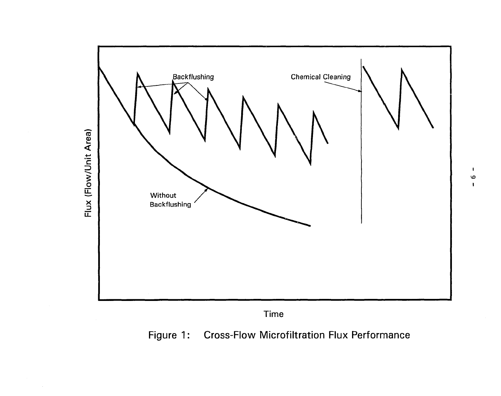

**I**

 $\mathbf{I}$  $\bullet$ 

Time

Figure 1: Cross-Flow Microfiltration Flux Performance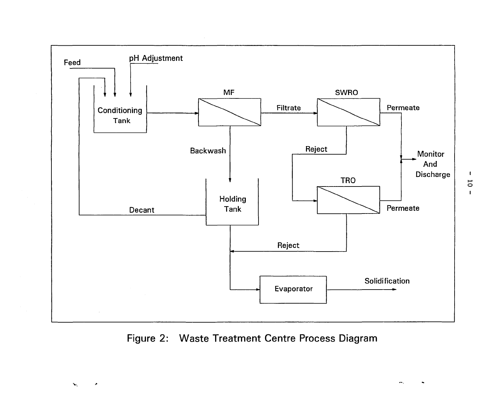

Figure 2: Waste Treatment Centre Process Diagram

 $\mathbf I$ **o I**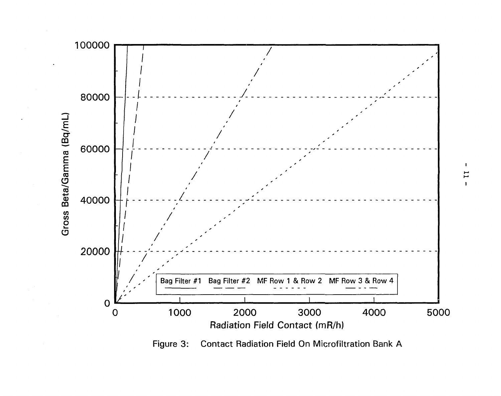

Figure 3: Contact Radiation Field On Microfiltration Bank A

 $\mathbf{I}$  $\mathbf{1}$  $\mathbf{I}$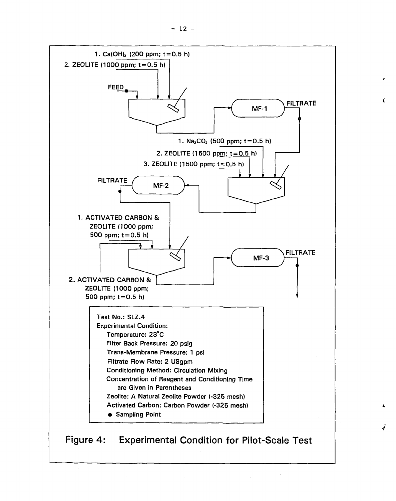